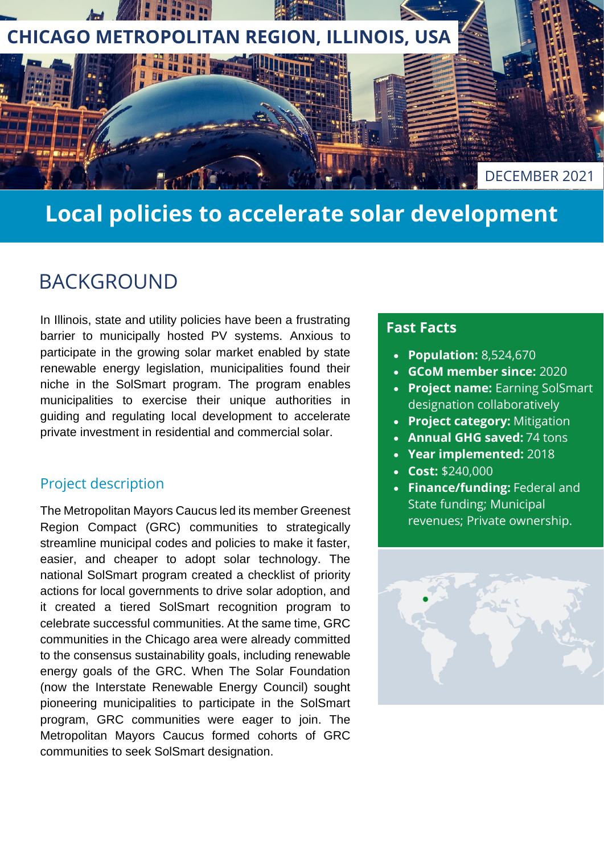

# **Local policies to accelerate solar development**

### BACKGROUND

In Illinois, state and utility policies have been a frustrating barrier to municipally hosted PV systems. Anxious to participate in the growing solar market enabled by state renewable energy legislation, municipalities found their niche in the SolSmart program. The program enables municipalities to exercise their unique authorities in guiding and regulating local development to accelerate private investment in residential and commercial solar.

#### Project description

The Metropolitan Mayors Caucus led its member Greenest Region Compact (GRC) communities to strategically streamline municipal codes and policies to make it faster, easier, and cheaper to adopt solar technology. The national SolSmart program created a checklist of priority actions for local governments to drive solar adoption, and it created a tiered SolSmart recognition program to celebrate successful communities. At the same time, GRC communities in the Chicago area were already committed to the consensus sustainability goals, including renewable energy goals of the GRC. When The Solar Foundation (now the Interstate Renewable Energy Council) sought pioneering municipalities to participate in the SolSmart program, GRC communities were eager to join. The Metropolitan Mayors Caucus formed cohorts of GRC communities to seek SolSmart designation.

### **Fast Facts**

- **Population:** 8,524,670
- **GCoM member since:** 2020
- **Project name:** Earning SolSmart designation collaboratively
- **Project category:** Mitigation
- **Annual GHG saved:** 74 tons
- **Year implemented:** 2018
- **Cost:** \$240,000
- **Finance/funding:** Federal and State funding; Municipal revenues; Private ownership.

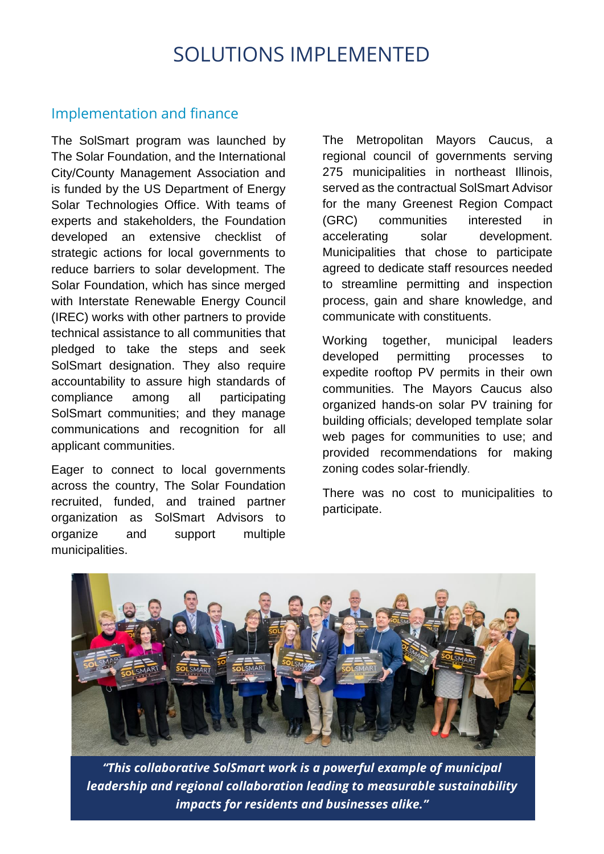### SOLUTIONS IMPLEMENTED

#### Implementation and finance

The SolSmart program was launched by The Solar Foundation, and the International City/County Management Association and is funded by the US Department of Energy Solar Technologies Office. With teams of experts and stakeholders, the Foundation developed an [extensive checklist of](https://solsmart.org/get-started/solsmart-guide/)  [strategic actions](https://solsmart.org/get-started/solsmart-guide/) for local governments to reduce barriers to solar development. The Solar Foundation, which has since merged with Interstate Renewable Energy Council (IREC) works with other partners to provide technical assistance to all communities that pledged to take the steps and seek SolSmart designation. They also require accountability to assure high standards of compliance among all participating SolSmart communities; and they manage communications and recognition for all applicant communities.

Eager to connect to local governments across the country, The Solar Foundation recruited, funded, and trained partner organization as SolSmart Advisors to organize and support multiple municipalities.

The Metropolitan Mayors Caucus, a regional council of governments serving 275 municipalities in northeast Illinois, served as the contractual SolSmart Advisor for the many Greenest Region Compact (GRC) communities interested in accelerating solar development. Municipalities that chose to participate agreed to dedicate staff resources needed to streamline permitting and inspection process, gain and share knowledge, and communicate with constituents.

Working together, municipal leaders developed permitting processes to expedite rooftop PV permits in their own communities. The Mayors Caucus also organized hands-on solar PV training for building officials; developed template solar web pages for communities to use; and provided recommendations for making zoning codes solar-friendly.

There was no cost to municipalities to participate.



*"This collaborative SolSmart work is a powerful example of municipal leadership and regional collaboration leading to measurable sustainability impacts for residents and businesses alike."*